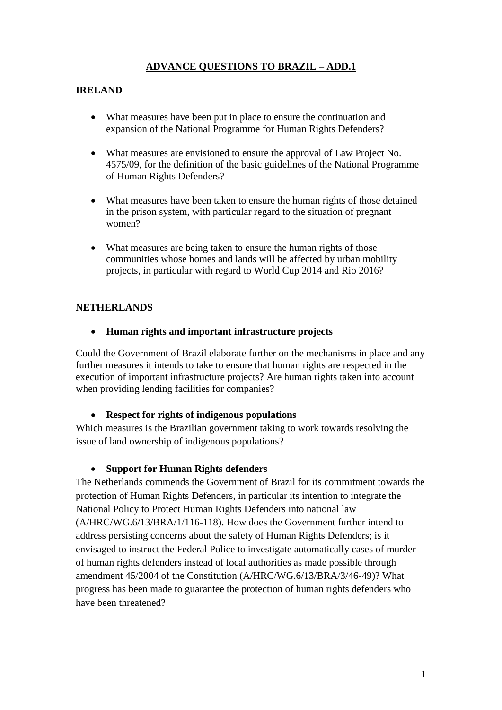# **ADVANCE QUESTIONS TO BRAZIL – ADD.1**

### **IRELAND**

- What measures have been put in place to ensure the continuation and expansion of the National Programme for Human Rights Defenders?
- What measures are envisioned to ensure the approval of Law Project No. 4575/09, for the definition of the basic guidelines of the National Programme of Human Rights Defenders?
- What measures have been taken to ensure the human rights of those detained in the prison system, with particular regard to the situation of pregnant women?
- What measures are being taken to ensure the human rights of those communities whose homes and lands will be affected by urban mobility projects, in particular with regard to World Cup 2014 and Rio 2016?

### **NETHERLANDS**

#### **Human rights and important infrastructure projects**

Could the Government of Brazil elaborate further on the mechanisms in place and any further measures it intends to take to ensure that human rights are respected in the execution of important infrastructure projects? Are human rights taken into account when providing lending facilities for companies?

#### **Respect for rights of indigenous populations**

Which measures is the Brazilian government taking to work towards resolving the issue of land ownership of indigenous populations?

#### **Support for Human Rights defenders**

The Netherlands commends the Government of Brazil for its commitment towards the protection of Human Rights Defenders, in particular its intention to integrate the National Policy to Protect Human Rights Defenders into national law (A/HRC/WG.6/13/BRA/1/116-118). How does the Government further intend to address persisting concerns about the safety of Human Rights Defenders; is it envisaged to instruct the Federal Police to investigate automatically cases of murder of human rights defenders instead of local authorities as made possible through amendment 45/2004 of the Constitution (A/HRC/WG.6/13/BRA/3/46-49)? What progress has been made to guarantee the protection of human rights defenders who have been threatened?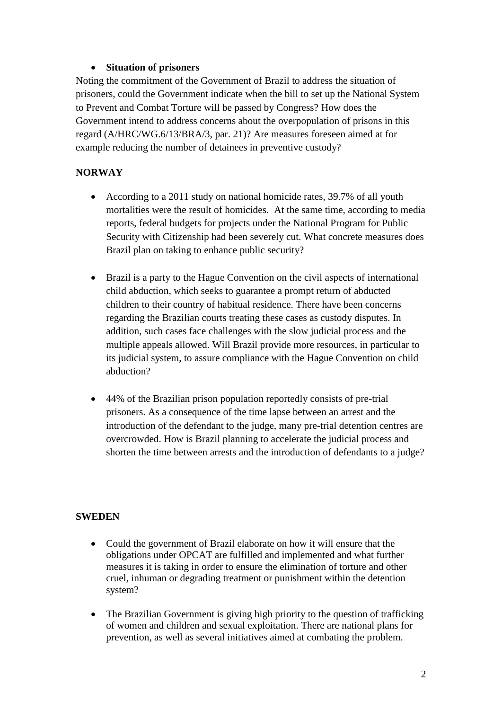## **Situation of prisoners**

Noting the commitment of the Government of Brazil to address the situation of prisoners, could the Government indicate when the bill to set up the National System to Prevent and Combat Torture will be passed by Congress? How does the Government intend to address concerns about the overpopulation of prisons in this regard (A/HRC/WG.6/13/BRA/3, par. 21)? Are measures foreseen aimed at for example reducing the number of detainees in preventive custody?

# **NORWAY**

- According to a 2011 study on national homicide rates, 39.7% of all youth mortalities were the result of homicides. At the same time, according to media reports, federal budgets for projects under the National Program for Public Security with Citizenship had been severely cut. What concrete measures does Brazil plan on taking to enhance public security?
- Brazil is a party to the Hague Convention on the civil aspects of international child abduction, which seeks to guarantee a prompt return of abducted children to their country of habitual residence. There have been concerns regarding the Brazilian courts treating these cases as custody disputes. In addition, such cases face challenges with the slow judicial process and the multiple appeals allowed. Will Brazil provide more resources, in particular to its judicial system, to assure compliance with the Hague Convention on child abduction?
- 44% of the Brazilian prison population reportedly consists of pre-trial prisoners. As a consequence of the time lapse between an arrest and the introduction of the defendant to the judge, many pre-trial detention centres are overcrowded. How is Brazil planning to accelerate the judicial process and shorten the time between arrests and the introduction of defendants to a judge?

## **SWEDEN**

- Could the government of Brazil elaborate on how it will ensure that the obligations under OPCAT are fulfilled and implemented and what further measures it is taking in order to ensure the elimination of torture and other cruel, inhuman or degrading treatment or punishment within the detention system?
- The Brazilian Government is giving high priority to the question of trafficking of women and children and sexual exploitation. There are national plans for prevention, as well as several initiatives aimed at combating the problem.